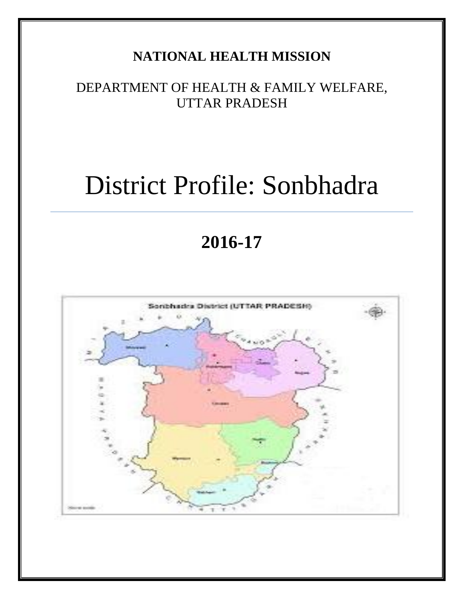## **NATIONAL HEALTH MISSION**

## DEPARTMENT OF HEALTH & FAMILY WELFARE, UTTAR PRADESH

# District Profile: Sonbhadra

## **2016-17**

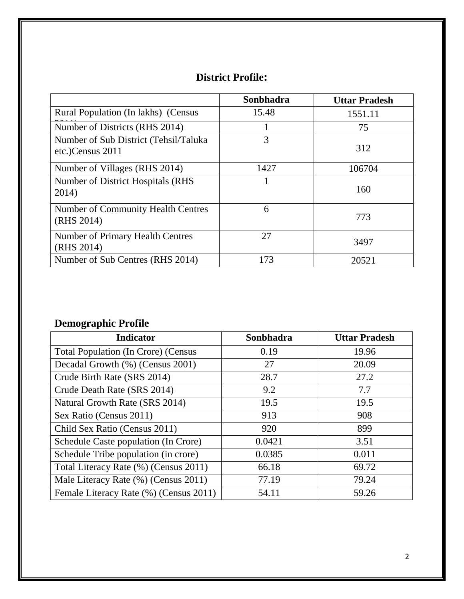## **District Profile:**

|                                                           | Sonbhadra | <b>Uttar Pradesh</b> |
|-----------------------------------------------------------|-----------|----------------------|
| Rural Population (In lakhs) (Census                       | 15.48     | 1551.11              |
| Number of Districts (RHS 2014)                            |           | 75                   |
| Number of Sub District (Tehsil/Taluka<br>etc.)Census 2011 | 3         | 312                  |
| Number of Villages (RHS 2014)                             | 1427      | 106704               |
| Number of District Hospitals (RHS)<br>2014)               |           | 160                  |
| <b>Number of Community Health Centres</b><br>(RHS 2014)   | 6         | 773                  |
| Number of Primary Health Centres<br>(RHS 2014)            | 27        | 3497                 |
| Number of Sub Centres (RHS 2014)                          | 173       | 20521                |

## **Demographic Profile**

| <b>Indicator</b>                           | Sonbhadra | <b>Uttar Pradesh</b> |
|--------------------------------------------|-----------|----------------------|
| <b>Total Population (In Crore) (Census</b> | 0.19      | 19.96                |
| Decadal Growth (%) (Census 2001)           | 27        | 20.09                |
| Crude Birth Rate (SRS 2014)                | 28.7      | 27.2                 |
| Crude Death Rate (SRS 2014)                | 9.2       | 7.7                  |
| Natural Growth Rate (SRS 2014)             | 19.5      | 19.5                 |
| Sex Ratio (Census 2011)                    | 913       | 908                  |
| Child Sex Ratio (Census 2011)              | 920       | 899                  |
| Schedule Caste population (In Crore)       | 0.0421    | 3.51                 |
| Schedule Tribe population (in crore)       | 0.0385    | 0.011                |
| Total Literacy Rate (%) (Census 2011)      | 66.18     | 69.72                |
| Male Literacy Rate (%) (Census 2011)       | 77.19     | 79.24                |
| Female Literacy Rate (%) (Census 2011)     | 54.11     | 59.26                |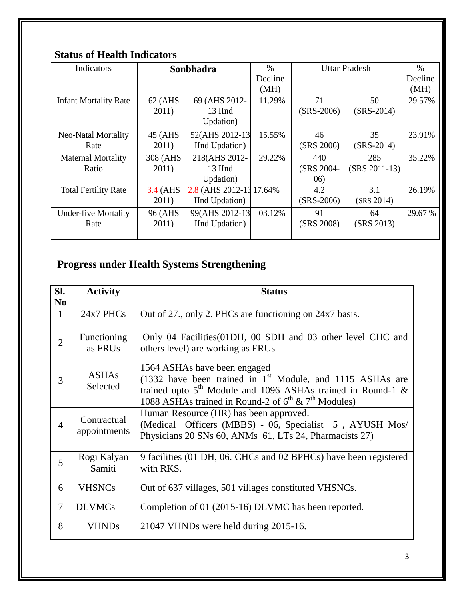### **Status of Health Indicators**

| Indicators                   | Sonbhadra |                          | $\%$    | <b>Uttar Pradesh</b> |                 | $\frac{0}{0}$ |
|------------------------------|-----------|--------------------------|---------|----------------------|-----------------|---------------|
|                              |           |                          | Decline |                      |                 | Decline       |
|                              |           |                          | (MH)    |                      |                 | (MH)          |
| <b>Infant Mortality Rate</b> | 62 (AHS   | 69 (AHS 2012-            | 11.29%  | 71                   | 50              | 29.57%        |
|                              | 2011)     | 13 IInd                  |         | $(SRS-2006)$         | $(SRS-2014)$    |               |
|                              |           | Updation)                |         |                      |                 |               |
| Neo-Natal Mortality          | 45 (AHS)  | 52(AHS 2012-13)          | 15.55%  | 46                   | 35              | 23.91%        |
| Rate                         | 2011)     | IInd Updation)           |         | (SRS 2006)           | $(SRS-2014)$    |               |
| <b>Maternal Mortality</b>    | 308 (AHS  | 218(AHS 2012-            | 29.22%  | 440                  | 285             | 35.22%        |
| Ratio                        | 2011)     | 13 IInd                  |         | (SRS 2004-           | $(SRS 2011-13)$ |               |
|                              |           | Updation)                |         | (06)                 |                 |               |
| <b>Total Fertility Rate</b>  | 3.4 (AHS  | 2.8 (AHS 2012-13 17.64%) |         | 4.2                  | 3.1             | 26.19%        |
|                              | 2011)     | <b>IInd Updation</b> )   |         | $(SRS-2006)$         | (SRS 2014)      |               |
| <b>Under-five Mortality</b>  | 96 (AHS   | 99(AHS 2012-13)          | 03.12%  | 91                   | 64              | 29.67 %       |
| Rate                         | 2011)     | IInd Updation)           |         | (SRS 2008)           | (SRS 2013)      |               |
|                              |           |                          |         |                      |                 |               |

## **Progress under Health Systems Strengthening**

| SI.<br>N <sub>0</sub> | <b>Activity</b>             | <b>Status</b>                                                                                                                                                                                                                               |
|-----------------------|-----------------------------|---------------------------------------------------------------------------------------------------------------------------------------------------------------------------------------------------------------------------------------------|
| $\mathbf{1}$          | $24x7$ PHCs                 | Out of 27., only 2. PHCs are functioning on 24x7 basis.                                                                                                                                                                                     |
| $\overline{2}$        | Functioning<br>as FRUs      | Only 04 Facilities (01DH, 00 SDH and 03 other level CHC and<br>others level) are working as FRUs                                                                                                                                            |
| 3                     | <b>ASHAs</b><br>Selected    | 1564 ASHAs have been engaged<br>(1332 have been trained in $1st$ Module, and 1115 ASHAs are<br>trained upto $5th$ Module and 1096 ASHAs trained in Round-1 &<br>1088 ASHAs trained in Round-2 of 6 <sup>th</sup> & 7 <sup>th</sup> Modules) |
| $\overline{4}$        | Contractual<br>appointments | Human Resource (HR) has been approved.<br>(Medical Officers (MBBS) - 06, Specialist 5, AYUSH Mos/<br>Physicians 20 SNs 60, ANMs 61, LTs 24, Pharmacists 27)                                                                                 |
| $\overline{5}$        | Rogi Kalyan<br>Samiti       | 9 facilities (01 DH, 06. CHCs and 02 BPHCs) have been registered<br>with RKS.                                                                                                                                                               |
| 6                     | <b>VHSNCs</b>               | Out of 637 villages, 501 villages constituted VHSNCs.                                                                                                                                                                                       |
| $\tau$                | <b>DLVMCs</b>               | Completion of 01 (2015-16) DLVMC has been reported.                                                                                                                                                                                         |
| 8                     | <b>VHNDs</b>                | 21047 VHNDs were held during 2015-16.                                                                                                                                                                                                       |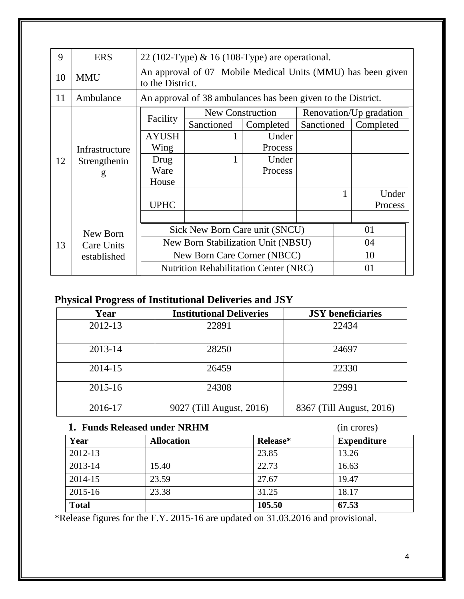| 9  | <b>ERS</b>                                | 22 (102-Type) $\&$ 16 (108-Type) are operational. |                                                                                 |                  |            |  |                         |
|----|-------------------------------------------|---------------------------------------------------|---------------------------------------------------------------------------------|------------------|------------|--|-------------------------|
| 10 | <b>MMU</b>                                |                                                   | An approval of 07 Mobile Medical Units (MMU) has been given<br>to the District. |                  |            |  |                         |
| 11 | Ambulance                                 |                                                   | An approval of 38 ambulances has been given to the District.                    |                  |            |  |                         |
|    |                                           |                                                   |                                                                                 | New Construction |            |  | Renovation/Up gradation |
|    |                                           | Facility                                          | Sanctioned                                                                      | Completed        | Sanctioned |  | Completed               |
|    |                                           | <b>AYUSH</b>                                      |                                                                                 | Under            |            |  |                         |
|    | Infrastructure<br>12<br>Strengthenin<br>g | Wing                                              |                                                                                 | Process          |            |  |                         |
|    |                                           | Drug                                              |                                                                                 | Under            |            |  |                         |
|    |                                           | Ware                                              |                                                                                 | Process          |            |  |                         |
|    |                                           | House                                             |                                                                                 |                  |            |  |                         |
|    |                                           |                                                   |                                                                                 |                  |            |  | Under                   |
|    |                                           | <b>UPHC</b>                                       |                                                                                 |                  |            |  | Process                 |
|    |                                           |                                                   |                                                                                 |                  |            |  |                         |
|    | New Born                                  | Sick New Born Care unit (SNCU)<br>01              |                                                                                 |                  |            |  |                         |
| 13 | Care Units                                |                                                   | New Born Stabilization Unit (NBSU)                                              |                  |            |  | 04                      |
|    | established                               |                                                   | New Born Care Corner (NBCC)                                                     |                  |            |  | 10                      |
|    |                                           |                                                   | <b>Nutrition Rehabilitation Center (NRC)</b>                                    |                  |            |  | 01                      |

## **Physical Progress of Institutional Deliveries and JSY**

| Year    | <b>Institutional Deliveries</b> | <b>JSY</b> beneficiaries |
|---------|---------------------------------|--------------------------|
| 2012-13 | 22891                           | 22434                    |
| 2013-14 | 28250                           | 24697                    |
| 2014-15 | 26459                           | 22330                    |
| 2015-16 | 24308                           | 22991                    |
| 2016-17 | 9027 (Till August, 2016)        | 8367 (Till August, 2016) |

#### **1. Funds Released under NRHM** (in crores)

| 1. FUINS INCREASED UINICI INNITIVI |                   |          | THE CLUTES!        |  |  |
|------------------------------------|-------------------|----------|--------------------|--|--|
| Year                               | <b>Allocation</b> | Release* | <b>Expenditure</b> |  |  |
| 2012-13                            |                   | 23.85    | 13.26              |  |  |
| 2013-14                            | 15.40             | 22.73    | 16.63              |  |  |
| 2014-15                            | 23.59             | 27.67    | 19.47              |  |  |
| 2015-16                            | 23.38             | 31.25    | 18.17              |  |  |
| <b>Total</b>                       |                   | 105.50   | 67.53              |  |  |

\*Release figures for the F.Y. 2015-16 are updated on 31.03.2016 and provisional.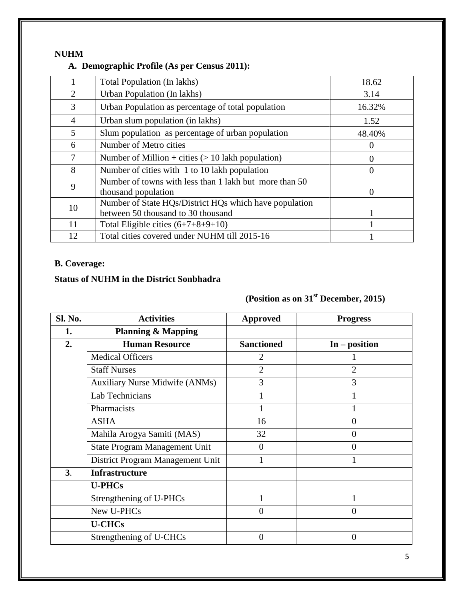#### **NUHM**

#### **A. Demographic Profile (As per Census 2011):**

|                | <b>Total Population (In lakhs)</b>                                                           | 18.62    |
|----------------|----------------------------------------------------------------------------------------------|----------|
| 2              | Urban Population (In lakhs)                                                                  | 3.14     |
| 3              | Urban Population as percentage of total population                                           | 16.32%   |
| $\overline{4}$ | Urban slum population (in lakhs)                                                             | 1.52     |
| 5              | Slum population as percentage of urban population                                            | 48.40%   |
| 6              | Number of Metro cities                                                                       | 0        |
| 7              | Number of Million + cities $(> 10$ lakh population)                                          | 0        |
| 8              | Number of cities with 1 to 10 lakh population                                                | $\Omega$ |
| 9              | Number of towns with less than 1 lakh but more than 50<br>thousand population                | $\Omega$ |
| 10             | Number of State HQs/District HQs which have population<br>between 50 thousand to 30 thousand |          |
| 11             | Total Eligible cities $(6+7+8+9+10)$                                                         |          |
| 12             | Total cities covered under NUHM till 2015-16                                                 |          |

#### **B. Coverage:**

#### **Status of NUHM in the District Sonbhadra**

## **(Position as on 31st December, 2015)**

| Sl. No. | <b>Activities</b>                     | <b>Approved</b>   | <b>Progress</b> |
|---------|---------------------------------------|-------------------|-----------------|
| 1.      | <b>Planning &amp; Mapping</b>         |                   |                 |
| 2.      | <b>Human Resource</b>                 | <b>Sanctioned</b> | $In - position$ |
|         | <b>Medical Officers</b>               | $\overline{2}$    |                 |
|         | <b>Staff Nurses</b>                   | $\overline{2}$    | 2               |
|         | <b>Auxiliary Nurse Midwife (ANMs)</b> | 3                 | 3               |
|         | Lab Technicians                       |                   |                 |
|         | Pharmacists                           |                   |                 |
|         | <b>ASHA</b>                           | 16                | $\overline{0}$  |
|         | Mahila Arogya Samiti (MAS)            | 32                | $\overline{0}$  |
|         | State Program Management Unit         | $\theta$          | $\overline{0}$  |
|         | District Program Management Unit      |                   |                 |
| 3.      | <b>Infrastructure</b>                 |                   |                 |
|         | <b>U-PHCs</b>                         |                   |                 |
|         | Strengthening of U-PHCs               | 1                 |                 |
|         | New U-PHCs                            | $\theta$          | $\overline{0}$  |
|         | <b>U-CHCs</b>                         |                   |                 |
|         | Strengthening of U-CHCs               | $\overline{0}$    | $\overline{0}$  |